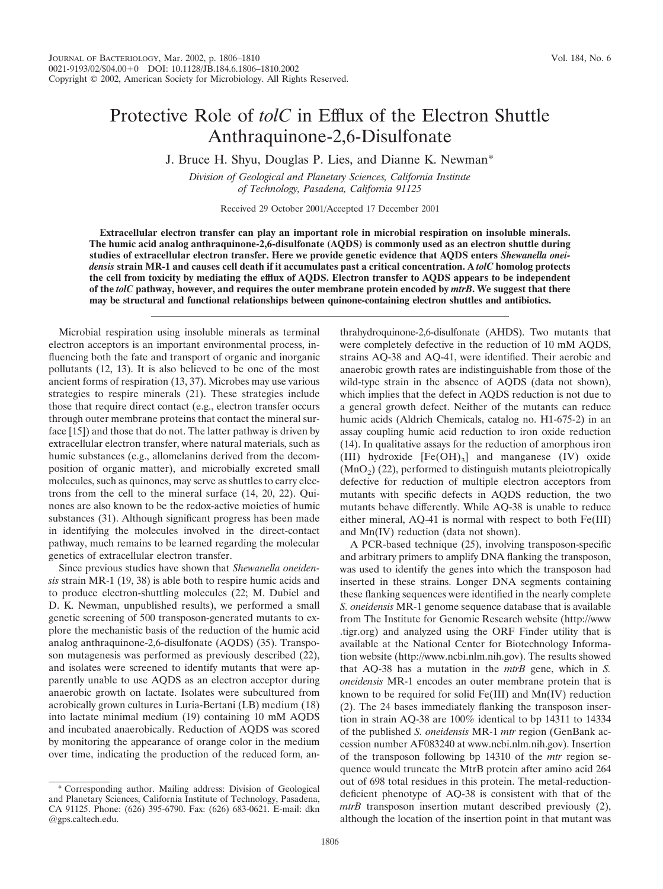## Protective Role of *tolC* in Efflux of the Electron Shuttle Anthraquinone-2,6-Disulfonate

J. Bruce H. Shyu, Douglas P. Lies, and Dianne K. Newman\*

*Division of Geological and Planetary Sciences, California Institute of Technology, Pasadena, California 91125*

Received 29 October 2001/Accepted 17 December 2001

**Extracellular electron transfer can play an important role in microbial respiration on insoluble minerals. The humic acid analog anthraquinone-2,6-disulfonate (AQDS) is commonly used as an electron shuttle during studies of extracellular electron transfer. Here we provide genetic evidence that AQDS enters** *Shewanella oneidensis* **strain MR-1 and causes cell death if it accumulates past a critical concentration. A** *tolC* **homolog protects the cell from toxicity by mediating the efflux of AQDS. Electron transfer to AQDS appears to be independent of the** *tolC* **pathway, however, and requires the outer membrane protein encoded by** *mtrB***. We suggest that there may be structural and functional relationships between quinone-containing electron shuttles and antibiotics.**

Microbial respiration using insoluble minerals as terminal electron acceptors is an important environmental process, influencing both the fate and transport of organic and inorganic pollutants (12, 13). It is also believed to be one of the most ancient forms of respiration (13, 37). Microbes may use various strategies to respire minerals (21). These strategies include those that require direct contact (e.g., electron transfer occurs through outer membrane proteins that contact the mineral surface [15]) and those that do not. The latter pathway is driven by extracellular electron transfer, where natural materials, such as humic substances (e.g., allomelanins derived from the decomposition of organic matter), and microbially excreted small molecules, such as quinones, may serve as shuttles to carry electrons from the cell to the mineral surface (14, 20, 22). Quinones are also known to be the redox-active moieties of humic substances (31). Although significant progress has been made in identifying the molecules involved in the direct-contact pathway, much remains to be learned regarding the molecular genetics of extracellular electron transfer.

Since previous studies have shown that *Shewanella oneidensis* strain MR-1 (19, 38) is able both to respire humic acids and to produce electron-shuttling molecules (22; M. Dubiel and D. K. Newman, unpublished results), we performed a small genetic screening of 500 transposon-generated mutants to explore the mechanistic basis of the reduction of the humic acid analog anthraquinone-2,6-disulfonate (AQDS) (35). Transposon mutagenesis was performed as previously described (22), and isolates were screened to identify mutants that were apparently unable to use AQDS as an electron acceptor during anaerobic growth on lactate. Isolates were subcultured from aerobically grown cultures in Luria-Bertani (LB) medium (18) into lactate minimal medium (19) containing 10 mM AQDS and incubated anaerobically. Reduction of AQDS was scored by monitoring the appearance of orange color in the medium over time, indicating the production of the reduced form, anthrahydroquinone-2,6-disulfonate (AHDS). Two mutants that were completely defective in the reduction of 10 mM AQDS, strains AQ-38 and AQ-41, were identified. Their aerobic and anaerobic growth rates are indistinguishable from those of the wild-type strain in the absence of AQDS (data not shown), which implies that the defect in AQDS reduction is not due to a general growth defect. Neither of the mutants can reduce humic acids (Aldrich Chemicals, catalog no. H1-675-2) in an assay coupling humic acid reduction to iron oxide reduction (14). In qualitative assays for the reduction of amorphous iron (III) hydroxide  $[Fe(OH)_3]$  and manganese (IV) oxide  $(MnO<sub>2</sub>)$  (22), performed to distinguish mutants pleiotropically defective for reduction of multiple electron acceptors from mutants with specific defects in AQDS reduction, the two mutants behave differently. While AQ-38 is unable to reduce either mineral, AQ-41 is normal with respect to both Fe(III) and Mn(IV) reduction (data not shown).

A PCR-based technique (25), involving transposon-specific and arbitrary primers to amplify DNA flanking the transposon, was used to identify the genes into which the transposon had inserted in these strains. Longer DNA segments containing these flanking sequences were identified in the nearly complete *S. oneidensis* MR-1 genome sequence database that is available from The Institute for Genomic Research website (http://www .tigr.org) and analyzed using the ORF Finder utility that is available at the National Center for Biotechnology Information website (http://www.ncbi.nlm.nih.gov). The results showed that AQ-38 has a mutation in the *mtrB* gene, which in *S. oneidensis* MR-1 encodes an outer membrane protein that is known to be required for solid Fe(III) and Mn(IV) reduction (2). The 24 bases immediately flanking the transposon insertion in strain AQ-38 are 100% identical to bp 14311 to 14334 of the published *S. oneidensis* MR-1 *mtr* region (GenBank accession number AF083240 at www.ncbi.nlm.nih.gov). Insertion of the transposon following bp 14310 of the *mtr* region sequence would truncate the MtrB protein after amino acid 264 out of 698 total residues in this protein. The metal-reductiondeficient phenotype of AQ-38 is consistent with that of the *mtrB* transposon insertion mutant described previously (2), although the location of the insertion point in that mutant was

Corresponding author. Mailing address: Division of Geological and Planetary Sciences, California Institute of Technology, Pasadena, CA 91125. Phone: (626) 395-6790. Fax: (626) 683-0621. E-mail: dkn @gps.caltech.edu.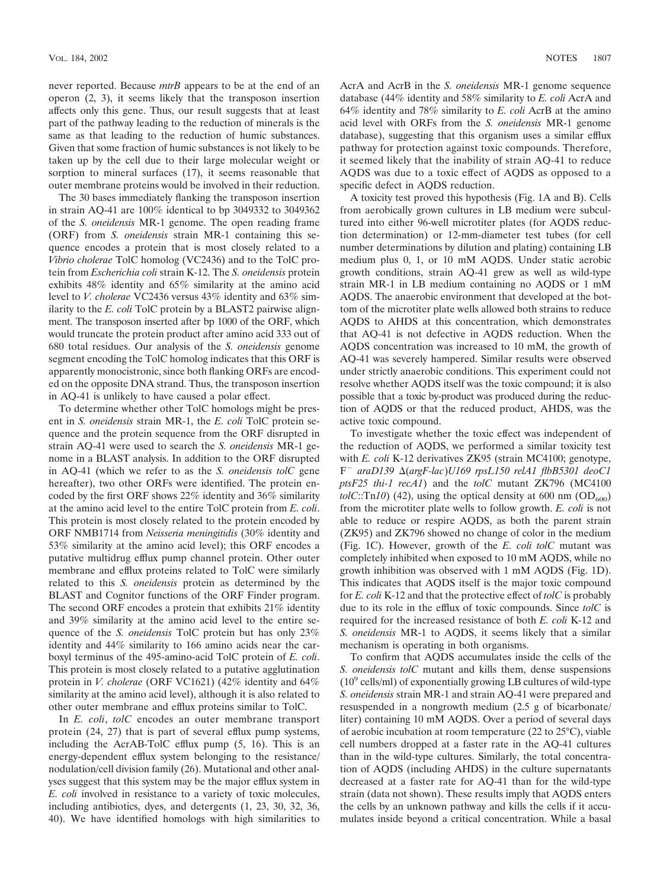never reported. Because *mtrB* appears to be at the end of an operon (2, 3), it seems likely that the transposon insertion affects only this gene. Thus, our result suggests that at least part of the pathway leading to the reduction of minerals is the same as that leading to the reduction of humic substances. Given that some fraction of humic substances is not likely to be taken up by the cell due to their large molecular weight or sorption to mineral surfaces (17), it seems reasonable that outer membrane proteins would be involved in their reduction.

The 30 bases immediately flanking the transposon insertion in strain AQ-41 are 100% identical to bp 3049332 to 3049362 of the *S. oneidensis* MR-1 genome. The open reading frame (ORF) from *S. oneidensis* strain MR-1 containing this sequence encodes a protein that is most closely related to a *Vibrio cholerae* TolC homolog (VC2436) and to the TolC protein from *Escherichia coli* strain K-12. The *S. oneidensis* protein exhibits 48% identity and 65% similarity at the amino acid level to *V. cholerae* VC2436 versus 43% identity and 63% similarity to the *E. coli* TolC protein by a BLAST2 pairwise alignment. The transposon inserted after bp 1000 of the ORF, which would truncate the protein product after amino acid 333 out of 680 total residues. Our analysis of the *S. oneidensis* genome segment encoding the TolC homolog indicates that this ORF is apparently monocistronic, since both flanking ORFs are encoded on the opposite DNA strand. Thus, the transposon insertion in AQ-41 is unlikely to have caused a polar effect.

To determine whether other TolC homologs might be present in *S. oneidensis* strain MR-1, the *E. coli* TolC protein sequence and the protein sequence from the ORF disrupted in strain AQ-41 were used to search the *S. oneidensis* MR-1 genome in a BLAST analysis. In addition to the ORF disrupted in AQ-41 (which we refer to as the *S. oneidensis tolC* gene hereafter), two other ORFs were identified. The protein encoded by the first ORF shows 22% identity and 36% similarity at the amino acid level to the entire TolC protein from *E. coli*. This protein is most closely related to the protein encoded by ORF NMB1714 from *Neisseria meningitidis* (30% identity and 53% similarity at the amino acid level); this ORF encodes a putative multidrug efflux pump channel protein. Other outer membrane and efflux proteins related to TolC were similarly related to this *S. oneidensis* protein as determined by the BLAST and Cognitor functions of the ORF Finder program. The second ORF encodes a protein that exhibits 21% identity and 39% similarity at the amino acid level to the entire sequence of the *S. oneidensis* TolC protein but has only 23% identity and 44% similarity to 166 amino acids near the carboxyl terminus of the 495-amino-acid TolC protein of *E. coli*. This protein is most closely related to a putative agglutination protein in *V. cholerae* (ORF VC1621) (42% identity and 64% similarity at the amino acid level), although it is also related to other outer membrane and efflux proteins similar to TolC.

In *E. coli*, *tolC* encodes an outer membrane transport protein (24, 27) that is part of several efflux pump systems, including the AcrAB-TolC efflux pump (5, 16). This is an energy-dependent efflux system belonging to the resistance/ nodulation/cell division family (26). Mutational and other analyses suggest that this system may be the major efflux system in *E. coli* involved in resistance to a variety of toxic molecules, including antibiotics, dyes, and detergents (1, 23, 30, 32, 36, 40). We have identified homologs with high similarities to AcrA and AcrB in the *S. oneidensis* MR-1 genome sequence database (44% identity and 58% similarity to *E. coli* AcrA and 64% identity and 78% similarity to *E. coli* AcrB at the amino acid level with ORFs from the *S. oneidensis* MR-1 genome database), suggesting that this organism uses a similar efflux pathway for protection against toxic compounds. Therefore, it seemed likely that the inability of strain AQ-41 to reduce AQDS was due to a toxic effect of AQDS as opposed to a specific defect in AQDS reduction.

A toxicity test proved this hypothesis (Fig. 1A and B). Cells from aerobically grown cultures in LB medium were subcultured into either 96-well microtiter plates (for AQDS reduction determination) or 12-mm-diameter test tubes (for cell number determinations by dilution and plating) containing LB medium plus 0, 1, or 10 mM AQDS. Under static aerobic growth conditions, strain AQ-41 grew as well as wild-type strain MR-1 in LB medium containing no AQDS or 1 mM AQDS. The anaerobic environment that developed at the bottom of the microtiter plate wells allowed both strains to reduce AQDS to AHDS at this concentration, which demonstrates that AQ-41 is not defective in AQDS reduction. When the AQDS concentration was increased to 10 mM, the growth of AQ-41 was severely hampered. Similar results were observed under strictly anaerobic conditions. This experiment could not resolve whether AQDS itself was the toxic compound; it is also possible that a toxic by-product was produced during the reduction of AQDS or that the reduced product, AHDS, was the active toxic compound.

To investigate whether the toxic effect was independent of the reduction of AQDS, we performed a similar toxicity test with *E. coli* K-12 derivatives ZK95 (strain MC4100; genotype, F- *araD139* (*argF-lac*)*U169 rpsL150 relA1 flbB5301 deoC1 ptsF25 thi-1 recA1*) and the *tolC* mutant ZK796 (MC4100  $tolC::Tn10)$  (42), using the optical density at 600 nm ( $OD<sub>600</sub>$ ) from the microtiter plate wells to follow growth. *E. coli* is not able to reduce or respire AQDS, as both the parent strain (ZK95) and ZK796 showed no change of color in the medium (Fig. 1C). However, growth of the *E. coli tolC* mutant was completely inhibited when exposed to 10 mM AQDS, while no growth inhibition was observed with 1 mM AQDS (Fig. 1D). This indicates that AQDS itself is the major toxic compound for *E. coli* K-12 and that the protective effect of *tolC* is probably due to its role in the efflux of toxic compounds. Since *tolC* is required for the increased resistance of both *E. coli* K-12 and *S. oneidensis* MR-1 to AQDS, it seems likely that a similar mechanism is operating in both organisms.

To confirm that AQDS accumulates inside the cells of the *S. oneidensis tolC* mutant and kills them, dense suspensions  $(10<sup>9</sup>$  cells/ml) of exponentially growing LB cultures of wild-type *S. oneidensis* strain MR-1 and strain AQ-41 were prepared and resuspended in a nongrowth medium (2.5 g of bicarbonate/ liter) containing 10 mM AQDS. Over a period of several days of aerobic incubation at room temperature (22 to 25°C), viable cell numbers dropped at a faster rate in the AQ-41 cultures than in the wild-type cultures. Similarly, the total concentration of AQDS (including AHDS) in the culture supernatants decreased at a faster rate for AQ-41 than for the wild-type strain (data not shown). These results imply that AQDS enters the cells by an unknown pathway and kills the cells if it accumulates inside beyond a critical concentration. While a basal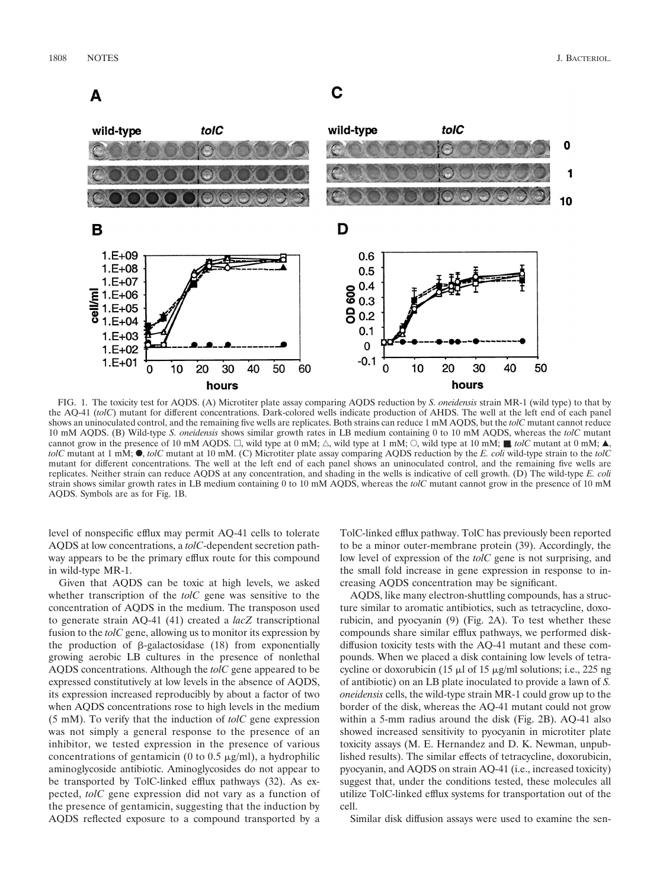А

## C



FIG. 1. The toxicity test for AQDS. (A) Microtiter plate assay comparing AQDS reduction by *S. oneidensis* strain MR-1 (wild type) to that by the AQ-41 (*tolC*) mutant for different concentrations. Dark-colored wells indicate production of AHDS. The well at the left end of each panel shows an uninoculated control, and the remaining five wells are replicates. Both strains can reduce 1 mM AQDS, but the *tolC* mutant cannot reduce 10 mM AQDS. (B) Wild-type *S. oneidensis* shows similar growth rates in LB medium containing 0 to 10 mM AQDS, whereas the *tolC* mutant cannot grow in the presence of 10 mM AQDS.  $\Box$ , wild type at 0 mM;  $\triangle$ , wild type at 1 mM;  $\Diamond$ , wild type at 10 mM;  $\blacksquare$ , *tolC* mutant at 0 mM;  $\blacktriangle$ ,  $tolC$  mutant at  $1 \text{ mM}$ ;  $\bullet$ ,  $tolC$  mutant at  $10 \text{ mM}$ . (C) Microtiter plate assay comparing AQDS reduction by the *E. coli* wild-type strain to the  $tolC$ mutant for different concentrations. The well at the left end of each panel shows an uninoculated control, and the remaining five wells are replicates. Neither strain can reduce AQDS at any concentration, and shading in the wells is indicative of cell growth. (D) The wild-type *E. coli* strain shows similar growth rates in LB medium containing 0 to 10 mM AQDS, whereas the *tolC* mutant cannot grow in the presence of 10 mM AQDS. Symbols are as for Fig. 1B.

level of nonspecific efflux may permit AQ-41 cells to tolerate AQDS at low concentrations, a *tolC*-dependent secretion pathway appears to be the primary efflux route for this compound in wild-type MR-1.

Given that AQDS can be toxic at high levels, we asked whether transcription of the *tolC* gene was sensitive to the concentration of AQDS in the medium. The transposon used to generate strain AQ-41 (41) created a *lacZ* transcriptional fusion to the *tolC* gene, allowing us to monitor its expression by the production of  $\beta$ -galactosidase (18) from exponentially growing aerobic LB cultures in the presence of nonlethal AQDS concentrations. Although the *tolC* gene appeared to be expressed constitutively at low levels in the absence of AQDS, its expression increased reproducibly by about a factor of two when AQDS concentrations rose to high levels in the medium (5 mM). To verify that the induction of *tolC* gene expression was not simply a general response to the presence of an inhibitor, we tested expression in the presence of various concentrations of gentamicin (0 to 0.5  $\mu$ g/ml), a hydrophilic aminoglycoside antibiotic. Aminoglycosides do not appear to be transported by TolC-linked efflux pathways (32). As expected, *tolC* gene expression did not vary as a function of the presence of gentamicin, suggesting that the induction by AQDS reflected exposure to a compound transported by a TolC-linked efflux pathway. TolC has previously been reported to be a minor outer-membrane protein (39). Accordingly, the low level of expression of the *tolC* gene is not surprising, and the small fold increase in gene expression in response to increasing AQDS concentration may be significant.

AQDS, like many electron-shuttling compounds, has a structure similar to aromatic antibiotics, such as tetracycline, doxorubicin, and pyocyanin (9) (Fig. 2A). To test whether these compounds share similar efflux pathways, we performed diskdiffusion toxicity tests with the AQ-41 mutant and these compounds. When we placed a disk containing low levels of tetracycline or doxorubicin (15  $\mu$ l of 15  $\mu$ g/ml solutions; i.e., 225 ng of antibiotic) on an LB plate inoculated to provide a lawn of *S. oneidensis* cells, the wild-type strain MR-1 could grow up to the border of the disk, whereas the AQ-41 mutant could not grow within a 5-mm radius around the disk (Fig. 2B). AQ-41 also showed increased sensitivity to pyocyanin in microtiter plate toxicity assays (M. E. Hernandez and D. K. Newman, unpublished results). The similar effects of tetracycline, doxorubicin, pyocyanin, and AQDS on strain AQ-41 (i.e., increased toxicity) suggest that, under the conditions tested, these molecules all utilize TolC-linked efflux systems for transportation out of the cell.

Similar disk diffusion assays were used to examine the sen-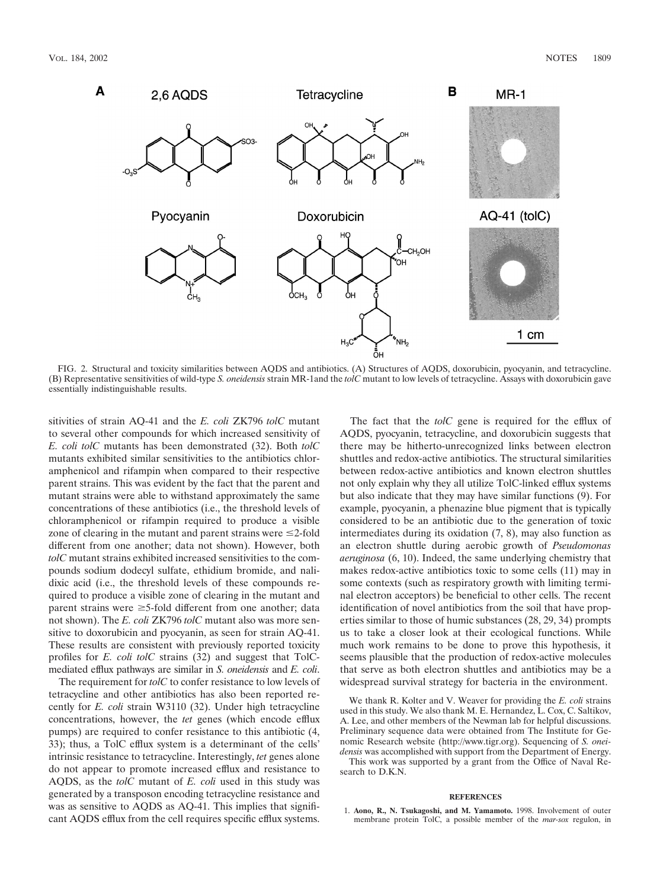

FIG. 2. Structural and toxicity similarities between AQDS and antibiotics. (A) Structures of AQDS, doxorubicin, pyocyanin, and tetracycline. (B) Representative sensitivities of wild-type *S. oneidensis* strain MR-1and the *tolC* mutant to low levels of tetracycline. Assays with doxorubicin gave essentially indistinguishable results.

sitivities of strain AQ-41 and the *E. coli* ZK796 *tolC* mutant to several other compounds for which increased sensitivity of *E. coli tolC* mutants has been demonstrated (32). Both *tolC* mutants exhibited similar sensitivities to the antibiotics chloramphenicol and rifampin when compared to their respective parent strains. This was evident by the fact that the parent and mutant strains were able to withstand approximately the same concentrations of these antibiotics (i.e., the threshold levels of chloramphenicol or rifampin required to produce a visible zone of clearing in the mutant and parent strains were  $\leq$ 2-fold different from one another; data not shown). However, both *tolC* mutant strains exhibited increased sensitivities to the compounds sodium dodecyl sulfate, ethidium bromide, and nalidixic acid (i.e., the threshold levels of these compounds required to produce a visible zone of clearing in the mutant and parent strains were  $\geq$ 5-fold different from one another; data not shown). The *E. coli* ZK796 *tolC* mutant also was more sensitive to doxorubicin and pyocyanin, as seen for strain AQ-41. These results are consistent with previously reported toxicity profiles for *E. coli tolC* strains (32) and suggest that TolCmediated efflux pathways are similar in *S. oneidensis* and *E. coli*.

The requirement for *tolC* to confer resistance to low levels of tetracycline and other antibiotics has also been reported recently for *E. coli* strain W3110 (32). Under high tetracycline concentrations, however, the *tet* genes (which encode efflux pumps) are required to confer resistance to this antibiotic (4, 33); thus, a TolC efflux system is a determinant of the cells' intrinsic resistance to tetracycline. Interestingly, *tet* genes alone do not appear to promote increased efflux and resistance to AQDS, as the *tolC* mutant of *E. coli* used in this study was generated by a transposon encoding tetracycline resistance and was as sensitive to AQDS as AQ-41. This implies that significant AQDS efflux from the cell requires specific efflux systems.

The fact that the *tolC* gene is required for the efflux of AQDS, pyocyanin, tetracycline, and doxorubicin suggests that there may be hitherto-unrecognized links between electron shuttles and redox-active antibiotics. The structural similarities between redox-active antibiotics and known electron shuttles not only explain why they all utilize TolC-linked efflux systems but also indicate that they may have similar functions (9). For example, pyocyanin, a phenazine blue pigment that is typically considered to be an antibiotic due to the generation of toxic intermediates during its oxidation (7, 8), may also function as an electron shuttle during aerobic growth of *Pseudomonas aeruginosa* (6, 10). Indeed, the same underlying chemistry that makes redox-active antibiotics toxic to some cells (11) may in some contexts (such as respiratory growth with limiting terminal electron acceptors) be beneficial to other cells. The recent identification of novel antibiotics from the soil that have properties similar to those of humic substances (28, 29, 34) prompts us to take a closer look at their ecological functions. While much work remains to be done to prove this hypothesis, it seems plausible that the production of redox-active molecules that serve as both electron shuttles and antibiotics may be a widespread survival strategy for bacteria in the environment.

We thank R. Kolter and V. Weaver for providing the *E. coli* strains used in this study. We also thank M. E. Hernandez, L. Cox, C. Saltikov, A. Lee, and other members of the Newman lab for helpful discussions. Preliminary sequence data were obtained from The Institute for Genomic Research website (http://www.tigr.org). Sequencing of *S. oneidensis* was accomplished with support from the Department of Energy. This work was supported by a grant from the Office of Naval Research to D.K.N.

## **REFERENCES**

1. **Aono, R., N. Tsukagoshi, and M. Yamamoto.** 1998. Involvement of outer membrane protein TolC, a possible member of the *mar-sox* regulon, in